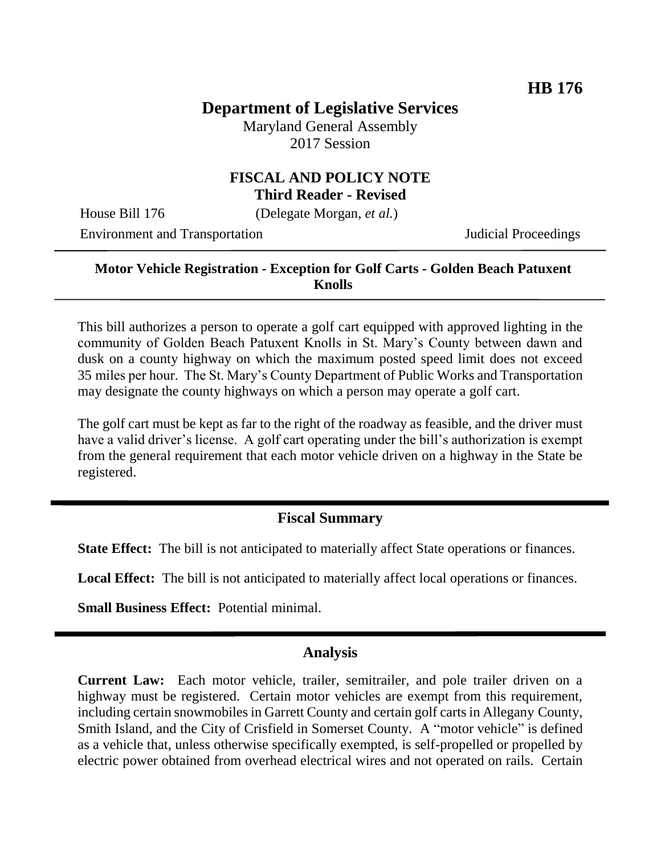# **Department of Legislative Services**

Maryland General Assembly 2017 Session

#### **FISCAL AND POLICY NOTE Third Reader - Revised**

House Bill 176 (Delegate Morgan, *et al.*)

Environment and Transportation **Internal Acceptual Proceedings** 

#### **Motor Vehicle Registration - Exception for Golf Carts - Golden Beach Patuxent Knolls**

This bill authorizes a person to operate a golf cart equipped with approved lighting in the community of Golden Beach Patuxent Knolls in St. Mary's County between dawn and dusk on a county highway on which the maximum posted speed limit does not exceed 35 miles per hour. The St. Mary's County Department of Public Works and Transportation may designate the county highways on which a person may operate a golf cart.

The golf cart must be kept as far to the right of the roadway as feasible, and the driver must have a valid driver's license. A golf cart operating under the bill's authorization is exempt from the general requirement that each motor vehicle driven on a highway in the State be registered.

### **Fiscal Summary**

**State Effect:** The bill is not anticipated to materially affect State operations or finances.

**Local Effect:** The bill is not anticipated to materially affect local operations or finances.

**Small Business Effect:** Potential minimal.

### **Analysis**

**Current Law:** Each motor vehicle, trailer, semitrailer, and pole trailer driven on a highway must be registered. Certain motor vehicles are exempt from this requirement, including certain snowmobiles in Garrett County and certain golf carts in Allegany County, Smith Island, and the City of Crisfield in Somerset County. A "motor vehicle" is defined as a vehicle that, unless otherwise specifically exempted, is self-propelled or propelled by electric power obtained from overhead electrical wires and not operated on rails. Certain